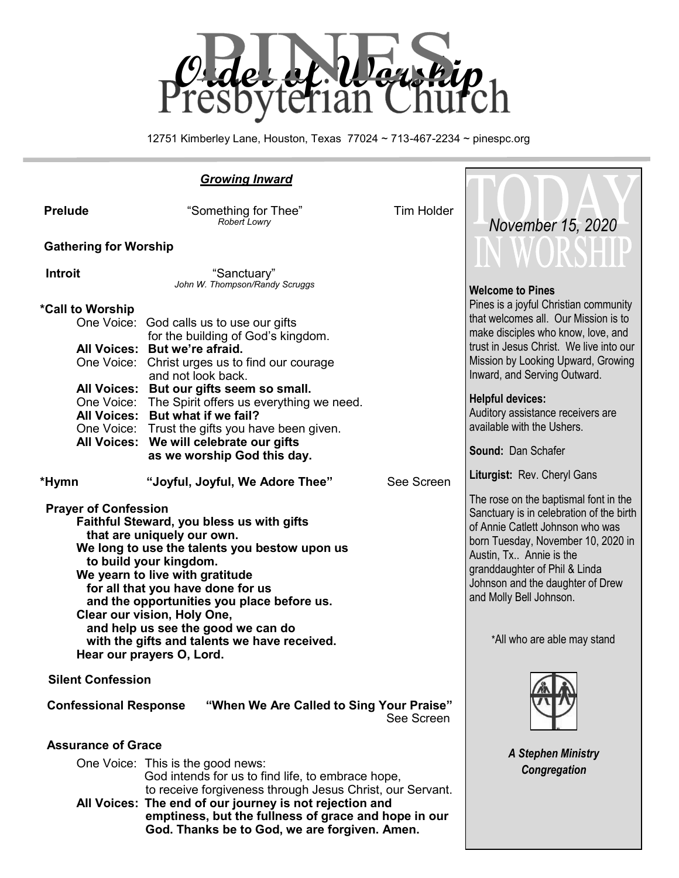

12751 Kimberley Lane, Houston, Texas 77024 ~ 713-467-2234 ~ pinespc.org

| <b>Growing Inward</b>                                                                                                                                                                                                                                                                                                                  |                                                                                                                                                                                                                                                                                                                                                                                   |                                                                                                                                                                                                                                                                                        |                                                                                                                                                                                                                                                                                                                                    |
|----------------------------------------------------------------------------------------------------------------------------------------------------------------------------------------------------------------------------------------------------------------------------------------------------------------------------------------|-----------------------------------------------------------------------------------------------------------------------------------------------------------------------------------------------------------------------------------------------------------------------------------------------------------------------------------------------------------------------------------|----------------------------------------------------------------------------------------------------------------------------------------------------------------------------------------------------------------------------------------------------------------------------------------|------------------------------------------------------------------------------------------------------------------------------------------------------------------------------------------------------------------------------------------------------------------------------------------------------------------------------------|
| <b>Prelude</b>                                                                                                                                                                                                                                                                                                                         | "Something for Thee"<br><b>Robert Lowry</b>                                                                                                                                                                                                                                                                                                                                       | <b>Tim Holder</b>                                                                                                                                                                                                                                                                      | November 15, 2020                                                                                                                                                                                                                                                                                                                  |
| <b>Gathering for Worship</b>                                                                                                                                                                                                                                                                                                           |                                                                                                                                                                                                                                                                                                                                                                                   |                                                                                                                                                                                                                                                                                        |                                                                                                                                                                                                                                                                                                                                    |
| <b>Introit</b>                                                                                                                                                                                                                                                                                                                         | "Sanctuary"<br>John W. Thompson/Randy Scruggs                                                                                                                                                                                                                                                                                                                                     |                                                                                                                                                                                                                                                                                        | <b>Welcome to Pines</b>                                                                                                                                                                                                                                                                                                            |
| *Call to Worship                                                                                                                                                                                                                                                                                                                       | One Voice: God calls us to use our gifts<br>for the building of God's kingdom.<br>All Voices: But we're afraid.<br>One Voice: Christ urges us to find our courage<br>and not look back.<br>All Voices: But our gifts seem so small.<br>One Voice: The Spirit offers us everything we need.<br>All Voices: But what if we fail?<br>One Voice: Trust the gifts you have been given. |                                                                                                                                                                                                                                                                                        | Pines is a joyful Christian community<br>that welcomes all. Our Mission is to<br>make disciples who know, love, and<br>trust in Jesus Christ. We live into our<br>Mission by Looking Upward, Growing<br>Inward, and Serving Outward.<br><b>Helpful devices:</b><br>Auditory assistance receivers are<br>available with the Ushers. |
|                                                                                                                                                                                                                                                                                                                                        | All Voices: We will celebrate our gifts<br>as we worship God this day.                                                                                                                                                                                                                                                                                                            |                                                                                                                                                                                                                                                                                        | Sound: Dan Schafer                                                                                                                                                                                                                                                                                                                 |
| *Hymn                                                                                                                                                                                                                                                                                                                                  | "Joyful, Joyful, We Adore Thee"                                                                                                                                                                                                                                                                                                                                                   | See Screen                                                                                                                                                                                                                                                                             | Liturgist: Rev. Cheryl Gans                                                                                                                                                                                                                                                                                                        |
| <b>Prayer of Confession</b><br>Faithful Steward, you bless us with gifts<br>that are uniquely our own.<br>We long to use the talents you bestow upon us<br>to build your kingdom.<br>We yearn to live with gratitude<br>for all that you have done for us<br>and the opportunities you place before us.<br>Clear our vision, Holy One, |                                                                                                                                                                                                                                                                                                                                                                                   | The rose on the baptismal font in the<br>Sanctuary is in celebration of the birth<br>of Annie Catlett Johnson who was<br>born Tuesday, November 10, 2020 in<br>Austin, Tx Annie is the<br>granddaughter of Phil & Linda<br>Johnson and the daughter of Drew<br>and Molly Bell Johnson. |                                                                                                                                                                                                                                                                                                                                    |
| and help us see the good we can do<br>with the gifts and talents we have received.<br>Hear our prayers O, Lord.                                                                                                                                                                                                                        |                                                                                                                                                                                                                                                                                                                                                                                   | *All who are able may stand                                                                                                                                                                                                                                                            |                                                                                                                                                                                                                                                                                                                                    |
| <b>Silent Confession</b>                                                                                                                                                                                                                                                                                                               |                                                                                                                                                                                                                                                                                                                                                                                   |                                                                                                                                                                                                                                                                                        |                                                                                                                                                                                                                                                                                                                                    |
| <b>Confessional Response</b><br>"When We Are Called to Sing Your Praise"<br>See Screen                                                                                                                                                                                                                                                 |                                                                                                                                                                                                                                                                                                                                                                                   |                                                                                                                                                                                                                                                                                        |                                                                                                                                                                                                                                                                                                                                    |
| <b>Assurance of Grace</b>                                                                                                                                                                                                                                                                                                              |                                                                                                                                                                                                                                                                                                                                                                                   |                                                                                                                                                                                                                                                                                        |                                                                                                                                                                                                                                                                                                                                    |
| One Voice: This is the good news:<br>God intends for us to find life, to embrace hope,<br>to receive forgiveness through Jesus Christ, our Servant.<br>All Voices: The end of our journey is not rejection and<br>emptiness, but the fullness of grace and hope in our<br>God. Thanks be to God, we are forgiven. Amen.                |                                                                                                                                                                                                                                                                                                                                                                                   | <b>A Stephen Ministry</b><br>Congregation                                                                                                                                                                                                                                              |                                                                                                                                                                                                                                                                                                                                    |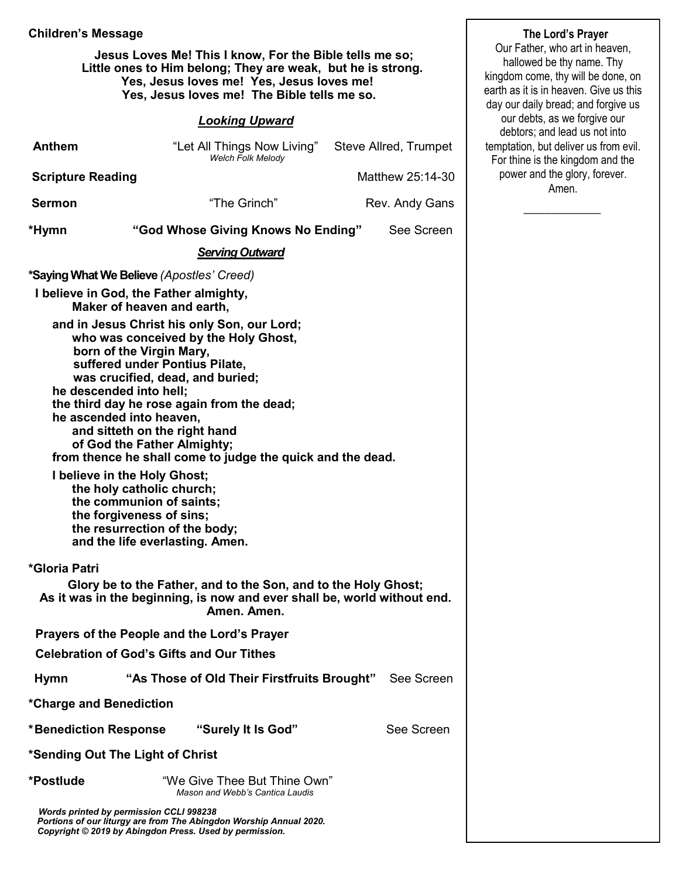#### **Children's Message**

 **Jesus Loves Me! This I know, For the Bible tells me so; Little ones to Him belong; They are weak, but he is strong. Yes, Jesus loves me! Yes, Jesus loves me! Yes, Jesus loves me! The Bible tells me so.** 

#### *Looking Upward*

| <b>Anthem</b>                                                                                                                                                              | "Let All Things Now Living" Steve Allred, Trumpet<br>Welch Folk Melody                                                                                                                                                                                                                                                                                                                                                                                                                                                                                                                                            |  |                  |  |
|----------------------------------------------------------------------------------------------------------------------------------------------------------------------------|-------------------------------------------------------------------------------------------------------------------------------------------------------------------------------------------------------------------------------------------------------------------------------------------------------------------------------------------------------------------------------------------------------------------------------------------------------------------------------------------------------------------------------------------------------------------------------------------------------------------|--|------------------|--|
| <b>Scripture Reading</b>                                                                                                                                                   |                                                                                                                                                                                                                                                                                                                                                                                                                                                                                                                                                                                                                   |  | Matthew 25:14-30 |  |
| <b>Sermon</b>                                                                                                                                                              | "The Grinch"                                                                                                                                                                                                                                                                                                                                                                                                                                                                                                                                                                                                      |  | Rev. Andy Gans   |  |
| *Hymn                                                                                                                                                                      | "God Whose Giving Knows No Ending"                                                                                                                                                                                                                                                                                                                                                                                                                                                                                                                                                                                |  | See Screen       |  |
|                                                                                                                                                                            | <b>Serving Outward</b>                                                                                                                                                                                                                                                                                                                                                                                                                                                                                                                                                                                            |  |                  |  |
|                                                                                                                                                                            | <i>*Saying What We Believe (Apostles' Creed)</i>                                                                                                                                                                                                                                                                                                                                                                                                                                                                                                                                                                  |  |                  |  |
|                                                                                                                                                                            | I believe in God, the Father almighty,<br>Maker of heaven and earth,                                                                                                                                                                                                                                                                                                                                                                                                                                                                                                                                              |  |                  |  |
|                                                                                                                                                                            | and in Jesus Christ his only Son, our Lord;<br>who was conceived by the Holy Ghost,<br>born of the Virgin Mary,<br>suffered under Pontius Pilate,<br>was crucified, dead, and buried;<br>he descended into hell;<br>the third day he rose again from the dead;<br>he ascended into heaven,<br>and sitteth on the right hand<br>of God the Father Almighty;<br>from thence he shall come to judge the quick and the dead.<br>I believe in the Holy Ghost;<br>the holy catholic church;<br>the communion of saints;<br>the forgiveness of sins;<br>the resurrection of the body;<br>and the life everlasting. Amen. |  |                  |  |
| *Gloria Patri<br>Glory be to the Father, and to the Son, and to the Holy Ghost;<br>As it was in the beginning, is now and ever shall be, world without end.<br>Amen. Amen. |                                                                                                                                                                                                                                                                                                                                                                                                                                                                                                                                                                                                                   |  |                  |  |
|                                                                                                                                                                            | Prayers of the People and the Lord's Prayer                                                                                                                                                                                                                                                                                                                                                                                                                                                                                                                                                                       |  |                  |  |
|                                                                                                                                                                            | <b>Celebration of God's Gifts and Our Tithes</b>                                                                                                                                                                                                                                                                                                                                                                                                                                                                                                                                                                  |  |                  |  |
| Hymn                                                                                                                                                                       | "As Those of Old Their Firstfruits Brought" See Screen                                                                                                                                                                                                                                                                                                                                                                                                                                                                                                                                                            |  |                  |  |
| *Charge and Benediction                                                                                                                                                    |                                                                                                                                                                                                                                                                                                                                                                                                                                                                                                                                                                                                                   |  |                  |  |
| <b>*Benediction Response</b>                                                                                                                                               | "Surely It Is God"                                                                                                                                                                                                                                                                                                                                                                                                                                                                                                                                                                                                |  | See Screen       |  |
| *Sending Out The Light of Christ                                                                                                                                           |                                                                                                                                                                                                                                                                                                                                                                                                                                                                                                                                                                                                                   |  |                  |  |
| *Postlude                                                                                                                                                                  | "We Give Thee But Thine Own"<br>Mason and Webb's Cantica Laudis                                                                                                                                                                                                                                                                                                                                                                                                                                                                                                                                                   |  |                  |  |
|                                                                                                                                                                            | Words printed by permission CCLI 998238<br>Portions of our liturgy are from The Abingdon Worship Annual 2020.                                                                                                                                                                                                                                                                                                                                                                                                                                                                                                     |  |                  |  |

 *Copyright © 2019 by Abingdon Press. Used by permission.*

Our Father, who art in heaven, hallowed be thy name. Thy kingdom come, thy will be done, on earth as it is in heaven. Give us this day our daily bread; and forgive us our debts, as we forgive our debtors; and lead us not into temptation, but deliver us from evil. For thine is the kingdom and the power and the glory, forever. Amen.

 $\overline{\phantom{a}}$  ,  $\overline{\phantom{a}}$  ,  $\overline{\phantom{a}}$  ,  $\overline{\phantom{a}}$  ,  $\overline{\phantom{a}}$  ,  $\overline{\phantom{a}}$  ,  $\overline{\phantom{a}}$  ,  $\overline{\phantom{a}}$  ,  $\overline{\phantom{a}}$  ,  $\overline{\phantom{a}}$  ,  $\overline{\phantom{a}}$  ,  $\overline{\phantom{a}}$  ,  $\overline{\phantom{a}}$  ,  $\overline{\phantom{a}}$  ,  $\overline{\phantom{a}}$  ,  $\overline{\phantom{a}}$ 

**The Lord's Prayer**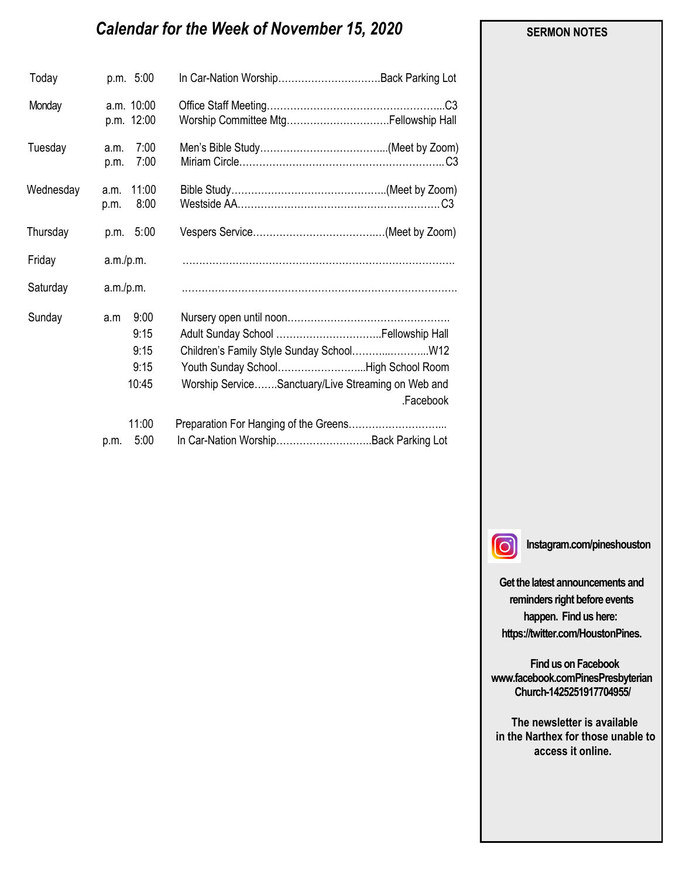# *Calendar for the Week of November 15, 2020*

| Today     | p.m. 5:00                                    | In Car-Nation WorshipBack Parking Lot                                                                                                               |
|-----------|----------------------------------------------|-----------------------------------------------------------------------------------------------------------------------------------------------------|
| Monday    | a.m. 10:00<br>p.m. 12:00                     | C3                                                                                                                                                  |
| Tuesday   | 7:00<br>a.m.<br>7:00<br>p.m.                 |                                                                                                                                                     |
| Wednesday | 11:00<br>a.m.<br>8:00<br>p.m.                |                                                                                                                                                     |
| Thursday  | 5:00<br>p.m.                                 |                                                                                                                                                     |
| Friday    | a.m./p.m.                                    |                                                                                                                                                     |
| Saturday  | a.m./p.m.                                    |                                                                                                                                                     |
| Sunday    | 9:00<br>a.m<br>9:15<br>9:15<br>9:15<br>10:45 | Children's Family Style Sunday School W12<br>Youth Sunday SchoolHigh School Room<br>Worship ServiceSanctuary/Live Streaming on Web and<br>.Facebook |
|           | 11:00                                        |                                                                                                                                                     |
|           | 5:00<br>p.m.                                 | In Car-Nation WorshipBack Parking Lot                                                                                                               |

#### **SERMON NOTES**

 $\Omega$ 

**Instagram.com/pineshouston**

**Get the latest announcements and reminders right before events happen. Find us here: https://twitter.com/HoustonPines.** 

 **Find us on Facebook www.facebook.comPinesPresbyterian Church-1425251917704955/**

 **The newsletter is available in the Narthex for those unable to access it online.**